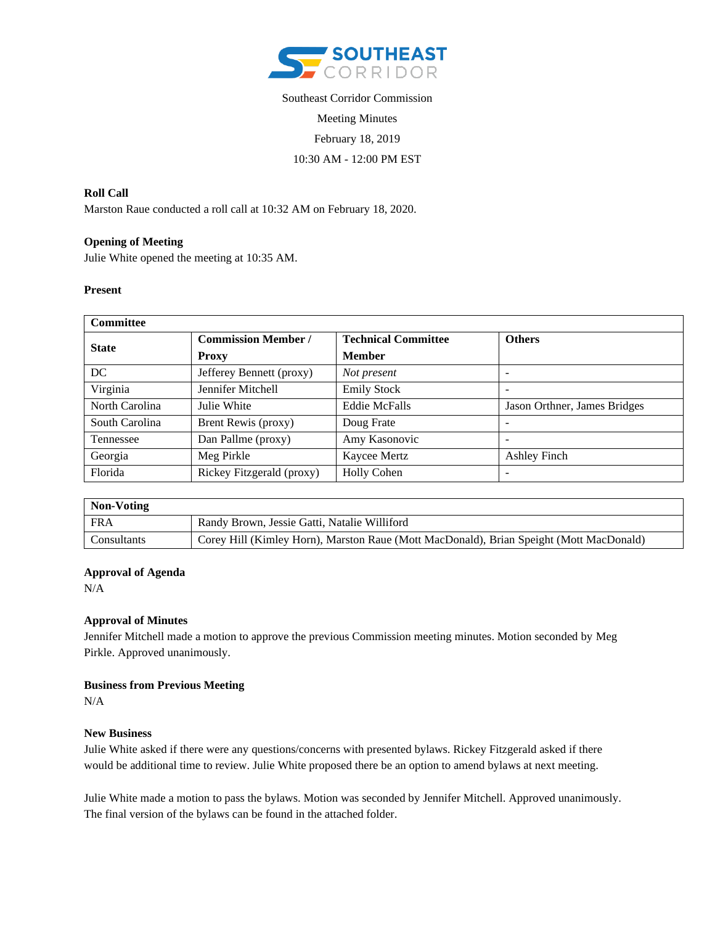

# Southeast Corridor Commission Meeting Minutes February 18, 2019 10:30 AM - 12:00 PM EST

### **Roll Call**

Marston Raue conducted a roll call at 10:32 AM on February 18, 2020.

## **Opening of Meeting**

Julie White opened the meeting at 10:35 AM.

#### **Present**

| <b>Committee</b> |                            |                            |                              |
|------------------|----------------------------|----------------------------|------------------------------|
| <b>State</b>     | <b>Commission Member /</b> | <b>Technical Committee</b> | <b>Others</b>                |
|                  | <b>Proxy</b>               | <b>Member</b>              |                              |
| DC               | Jefferey Bennett (proxy)   | Not present                |                              |
| Virginia         | Jennifer Mitchell          | <b>Emily Stock</b>         |                              |
| North Carolina   | Julie White                | <b>Eddie McFalls</b>       | Jason Orthner, James Bridges |
| South Carolina   | Brent Rewis (proxy)        | Doug Frate                 |                              |
| Tennessee        | Dan Pallme (proxy)         | Amy Kasonovic              |                              |
| Georgia          | Meg Pirkle                 | Kaycee Mertz               | Ashley Finch                 |
| Florida          | Rickey Fitzgerald (proxy)  | <b>Holly Cohen</b>         |                              |

| Non-Voting  |                                                                                         |  |
|-------------|-----------------------------------------------------------------------------------------|--|
| <b>FRA</b>  | Randy Brown, Jessie Gatti, Natalie Williford                                            |  |
| Consultants | Corey Hill (Kimley Horn), Marston Raue (Mott MacDonald), Brian Speight (Mott MacDonald) |  |

#### **Approval of Agenda**

N/A

#### **Approval of Minutes**

Jennifer Mitchell made a motion to approve the previous Commission meeting minutes. Motion seconded by Meg Pirkle. Approved unanimously.

#### **Business from Previous Meeting**

N/A

#### **New Business**

Julie White asked if there were any questions/concerns with presented bylaws. Rickey Fitzgerald asked if there would be additional time to review. Julie White proposed there be an option to amend bylaws at next meeting.

Julie White made a motion to pass the bylaws. Motion was seconded by Jennifer Mitchell. Approved unanimously. The final version of the bylaws can be found in the attached folder.